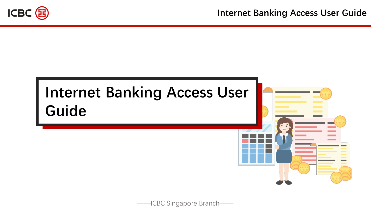

# **Internet Banking Access User Guide**



-ICBC Singapore Branch-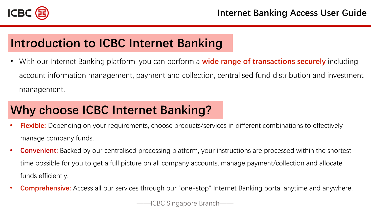

### **Introduction to ICBC Internet Banking**

• With our Internet Banking platform, you can perform a **wide range of transactions securely** including account information management, payment and collection, centralised fund distribution and investment management.

## **Why choose ICBC Internet Banking?**

- **Flexible:** Depending on your requirements, choose products/services in different combinations to effectively manage company funds.
- **Convenient:** Backed by our centralised processing platform, your instructions are processed within the shortest time possible for you to get a full picture on all company accounts, manage payment/collection and allocate funds efficiently.
- **Comprehensive:** Access all our services through our "one-stop" Internet Banking portal anytime and anywhere.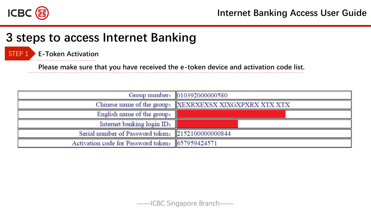

STEP 1 **E-Token Activation**

**Please make sure that you have received the e-token device and activation code list.**

|                                                   | Group number: 010392000000580                          |  |  |  |
|---------------------------------------------------|--------------------------------------------------------|--|--|--|
|                                                   | Chinese name of the group: XEXRXEXSX XIXGXPXRX XTX XTX |  |  |  |
| English name of the group:                        |                                                        |  |  |  |
| Internet banking login ID:                        |                                                        |  |  |  |
| Serial number of Password token: 2152100000000844 |                                                        |  |  |  |
| Activation code for Password token: 657959424571  |                                                        |  |  |  |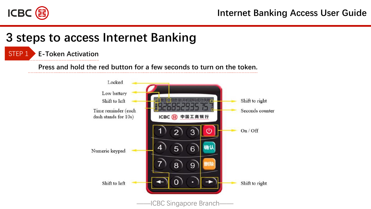

#### STEP 1 **E-Token Activation**

**Press and hold the red button for a few seconds to turn on the token.**

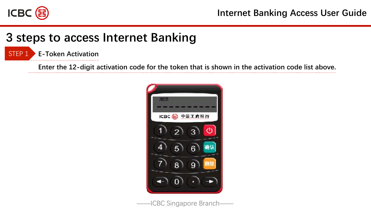

STEP 1 **E-Token Activation**

**Enter the 12-digit activation code for the token that is shown in the activation code list above.**

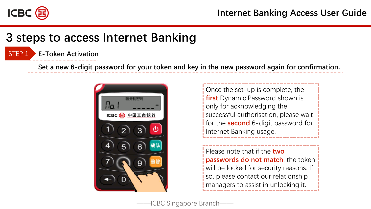

#### STEP 1 **E-Token Activation**

**Set a new 6-digit password for your token and key in the new password again for confirmation.** 



Once the set-up is complete, the **first** Dynamic Password shown is only for acknowledging the successful authorisation, please wait for the **second** 6-digit password for Internet Banking usage.

Please note that if the **two passwords do not match**, the token will be locked for security reasons. If so, please contact our relationship managers to assist in unlocking it.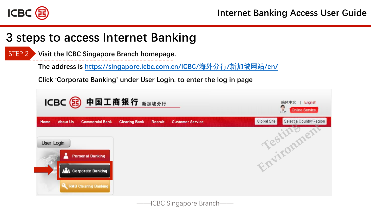

**Visit the ICBC Singapore Branch homepage.**  STEP 2

**The address is [https://singapore.icbc.com.cn/ICBC/](https://singapore.icbc.com.cn/ICBC/海外分行/新加坡网站/en/)海外分行/新加坡网站/en/**

**Click 'Corporate Banking' under User Login, to enter the log in page**



——ICBC Singapore Branch——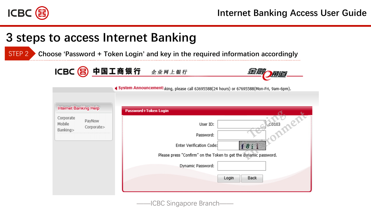

STEP 2 **Choose 'Password + Token Login' and key in the required information accordingly**

|  |  | ICBC B 中国工商银行 | 企业网上银行 |
|--|--|---------------|--------|
|--|--|---------------|--------|



|                                 | <b>Internet Banking Help</b> | Password+Token Login                                                                                                                    |
|---------------------------------|------------------------------|-----------------------------------------------------------------------------------------------------------------------------------------|
| Corporate<br>Mobile<br>Banking> | PayNow<br>Corporate>         | c.0103<br>User ID:<br>Password:<br>Enter Verification Code:<br>f8ii<br>Please press "Confirm" on the Token to get the dynamic password. |
|                                 |                              | Dynamic Password:<br>Login<br>Back                                                                                                      |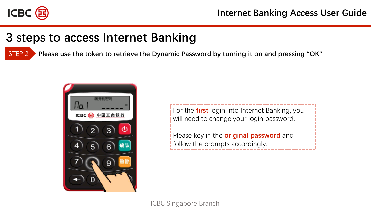

STEP 2 **Please use the token to retrieve the Dynamic Password by turning it on and pressing "OK"**



For the **first** login into Internet Banking, you will need to change your login password.

Please key in the **original password** and follow the prompts accordingly.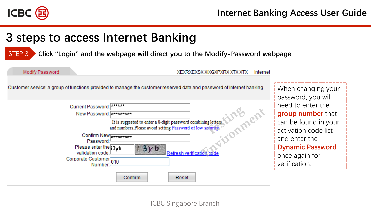

#### **3 steps to access Internet Banking**

STEP 3 **Click "Login" and the webpage will direct you to the Modify-Password webpage**

#### Modify Password

XEXRXEXSX XIXGXPXRX XTX XTX Internet

| Customer service: a group of functions provided to manage the customer reserved data and password of Internet banking.                                                                                                                                                                                                   | When changing your<br>password, you will                                                                                                                                                                  |
|--------------------------------------------------------------------------------------------------------------------------------------------------------------------------------------------------------------------------------------------------------------------------------------------------------------------------|-----------------------------------------------------------------------------------------------------------------------------------------------------------------------------------------------------------|
| Current Password: ******<br>New Password: *********<br>It is suggested to enter a 8-digit password combining letters<br>and numbers. Please avoid setting Password of low security<br>Confirm New <b>AAAAAAAAA</b><br>Password:<br>Please enter the 13yb<br>ろいり<br>validation code:<br>Corporate Customer <sub>010</sub> | need to enter the<br>group number that<br>can be found in your<br>activation code list<br>and enter the<br><b>Dynamic Password</b><br><b>Refresh verification code</b><br>once again for<br>verification. |
| Confirm                                                                                                                                                                                                                                                                                                                  | Reset                                                                                                                                                                                                     |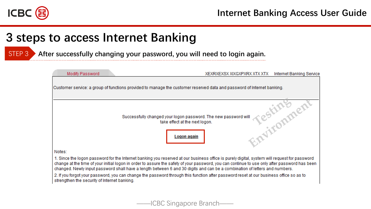

STEP 3 **After successfully changing your password, you will need to login again.**

| Modify Password                              | XEXRXEXSX XIXGXPXRX XTX XTX                                                                                                                                                                                                                                                                                                                                                                                                 | Internet Banking Service |
|----------------------------------------------|-----------------------------------------------------------------------------------------------------------------------------------------------------------------------------------------------------------------------------------------------------------------------------------------------------------------------------------------------------------------------------------------------------------------------------|--------------------------|
|                                              | Customer service: a group of functions provided to manage the customer reserved data and password of Internet banking.                                                                                                                                                                                                                                                                                                      |                          |
|                                              | Successfully changed your logon password. The new password will<br>take effect at the next logon.<br>Logon again                                                                                                                                                                                                                                                                                                            | itionment                |
| Notes:                                       |                                                                                                                                                                                                                                                                                                                                                                                                                             |                          |
|                                              | 1. Since the logon password for the Internet banking you reserved at our business office is purely digital, system will request for password<br>change at the time of your initial logon in order to assure the safety of your password, you can continue to use only after password has been<br>changed. Newly input password shall have a length between 6 and 30 digits and can be a combination of letters and numbers. |                          |
| strengthen the security of Internet banking. | 2. If you forgot your password, you can change the password through this function after password reset at our business office so as to                                                                                                                                                                                                                                                                                      |                          |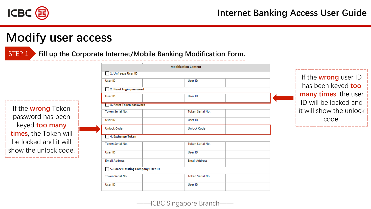

STEP 1 **Fill up the Corporate Internet/Mobile Banking Modification Form.**

If the **wrong** Token password has been keyed **too many times**, the Token will be locked and it will show the unlock code.

|                                           | <b>Modification Content</b> |  |
|-------------------------------------------|-----------------------------|--|
| 1. Unfreeze User ID<br>- 1                |                             |  |
| User ID                                   | User ID                     |  |
| 2. Reset Login password                   |                             |  |
| User ID                                   | User ID                     |  |
| 3. Reset Token password                   |                             |  |
| <b>Token Serial No.</b>                   | <b>Token Serial No.</b>     |  |
| User ID                                   | User ID                     |  |
| <b>Unlock Code</b>                        | <b>Unlock Code</b>          |  |
| 4. Exchange Token                         |                             |  |
| <b>Token Serial No.</b>                   | <b>Token Serial No.</b>     |  |
| User ID                                   | User ID                     |  |
| <b>Email Address</b>                      | <b>Email Address</b>        |  |
| 5. Cancel Existing Company User ID<br>- 1 |                             |  |
| Token Serial No.                          | Token Serial No.            |  |
| User ID                                   | User ID                     |  |
|                                           |                             |  |

If the **wrong** user ID has been keyed **too many times**, the user ID will be locked and it will show the unlock code.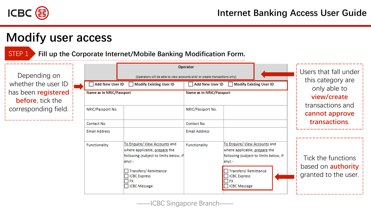

STEP 1 **Fill up the Corporate Internet/Mobile Banking Modification Form.**

Depending on whether the user ID has been **registered before**, tick the corresponding field.

\_\_\_\_\_\_\_\_\_\_\_\_\_\_\_\_

|  |  | Operator<br>(Operators will be able to view accounts and/ or create transactions only)<br><b>Add New User ID</b><br><b>Modify Existing User ID</b><br><b>Modify Existing User ID</b><br><b>Add New User ID</b> |                                                                                                                                                                                                               |                          |                                                                                                                                                                                                   |  | Users that fall under<br>this category are<br>only able to<br>view/create |
|--|--|----------------------------------------------------------------------------------------------------------------------------------------------------------------------------------------------------------------|---------------------------------------------------------------------------------------------------------------------------------------------------------------------------------------------------------------|--------------------------|---------------------------------------------------------------------------------------------------------------------------------------------------------------------------------------------------|--|---------------------------------------------------------------------------|
|  |  | <b>Name as In NRIC/Passport</b>                                                                                                                                                                                |                                                                                                                                                                                                               | Name as In NRIC/Passport |                                                                                                                                                                                                   |  |                                                                           |
|  |  | NRIC/Passport No.                                                                                                                                                                                              |                                                                                                                                                                                                               | NRIC/Passport No.        |                                                                                                                                                                                                   |  | transactions and<br>cannot approve                                        |
|  |  | Contact No.                                                                                                                                                                                                    |                                                                                                                                                                                                               | Contact No.              |                                                                                                                                                                                                   |  | <b>transactions</b>                                                       |
|  |  | <b>Email Address</b>                                                                                                                                                                                           |                                                                                                                                                                                                               | <b>Email Address</b>     |                                                                                                                                                                                                   |  |                                                                           |
|  |  | Functionality                                                                                                                                                                                                  | To Enquire/ View Accounts and<br>where applicable, prepare the<br>following (subject to limits below, if<br>any):-<br><b>Transfers/ Remittance</b><br><b>ICBC Express</b><br><b>FX</b><br><b>ICBC Message</b> | <b>Functionality</b>     | To Enquire/ View Accounts and<br>where applicable, prepare the<br>following (subject to limits below, if<br>$any$ :-<br>Transfers/Remittance<br>□ ICBC Express<br>$\Box$ ex<br><b>CBC</b> Message |  | Tick the functions<br>based on <b>authority</b><br>granted to the user.   |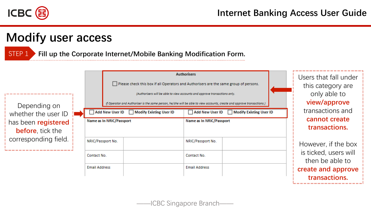

STEP 1 **Fill up the Corporate Internet/Mobile Banking Modification Form.**

| Depending on                               |                                                    | <b>Authorisers</b><br>Please check this box if all Operators and Authorisers are the same group of persons.<br>(Authorisers will be able to view accounts and approve transactions only.<br>If Operator and Authoriser is the same person, he/she will be able to view accounts, create and approve transactions.) |                                             | Users that fall under<br>this category are<br>only able to<br>view/approve |                                          |
|--------------------------------------------|----------------------------------------------------|--------------------------------------------------------------------------------------------------------------------------------------------------------------------------------------------------------------------------------------------------------------------------------------------------------------------|---------------------------------------------|----------------------------------------------------------------------------|------------------------------------------|
| whether the user ID<br>has been registered | Add New User ID<br><b>Name as In NRIC/Passport</b> | Modify Existing User ID                                                                                                                                                                                                                                                                                            | Add New User ID<br>Name as In NRIC/Passport | <b>Modify Existing User ID</b>                                             | transactions and<br>cannot create        |
| <b>before</b> , tick the                   |                                                    |                                                                                                                                                                                                                                                                                                                    |                                             |                                                                            | transactions.                            |
| corresponding field.                       | NRIC/Passport No.                                  |                                                                                                                                                                                                                                                                                                                    | NRIC/Passport No.                           |                                                                            | However, if the box                      |
|                                            | Contact No.                                        |                                                                                                                                                                                                                                                                                                                    | Contact No.                                 |                                                                            | is ticked, users will<br>then be able to |
|                                            | <b>Email Address</b>                               |                                                                                                                                                                                                                                                                                                                    | <b>Email Address</b>                        |                                                                            | create and approve<br>transactions.      |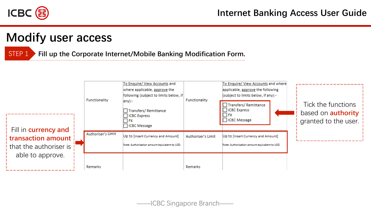

STEP 1 **Fill up the Corporate Internet/Mobile Banking Modification Form.**

| Fill in <b>currency and</b>                    | <b>Functionality</b> | To Enquire/ View Accounts and<br>where applicable, approve the<br>following (subject to limits below, if<br>$any$ :-<br>Transfers/Remittance<br><b>ICBC</b> Express<br>- I FX<br><b>ICBC</b> Message | <b>Functionality</b> | To Enquire/ View Accounts and where<br>applicable, approve the following<br>(subject to limits below, if any):-<br>Transfers/Remittance<br><b>CBC</b> Express<br>I FX<br>□ ICBC Message | Tick the functions<br>based on <b>authority</b><br>granted to the user. |
|------------------------------------------------|----------------------|------------------------------------------------------------------------------------------------------------------------------------------------------------------------------------------------------|----------------------|-----------------------------------------------------------------------------------------------------------------------------------------------------------------------------------------|-------------------------------------------------------------------------|
| transaction amount i<br>that the authoriser is | Authoriser's Limit   | Up to [Insert Currency and Amount]<br>Note: Authorization amount equivalent to USD.                                                                                                                  | Authoriser's Limit   | Up to [Insert Currency and Amount]<br>Note: Authorization amount equivalent to USD.                                                                                                     |                                                                         |
| able to approve.                               | Remarks              |                                                                                                                                                                                                      | Remarks              |                                                                                                                                                                                         |                                                                         |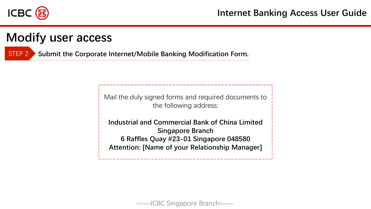

STEP 2 **Submit the Corporate Internet/Mobile Banking Modification Form.**

Mail the duly signed forms and required documents to the following address:

**Industrial and Commercial Bank of China Limited Singapore Branch 6 Raffles Quay #23-01 Singapore 048580 Attention: [Name of your Relationship Manager]**